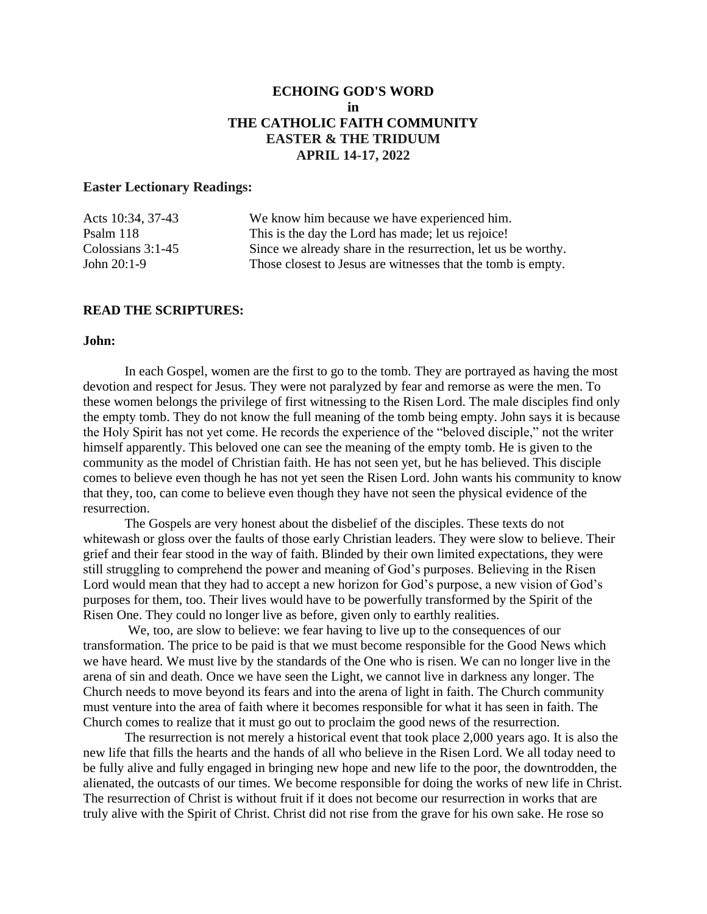# **ECHOING GOD'S WORD in THE CATHOLIC FAITH COMMUNITY EASTER & THE TRIDUUM APRIL 14-17, 2022**

# **Easter Lectionary Readings:**

| We know him because we have experienced him.                  |
|---------------------------------------------------------------|
| This is the day the Lord has made; let us rejoice!            |
| Since we already share in the resurrection, let us be worthy. |
| Those closest to Jesus are witnesses that the tomb is empty.  |
|                                                               |

## **READ THE SCRIPTURES:**

#### **John:**

In each Gospel, women are the first to go to the tomb. They are portrayed as having the most devotion and respect for Jesus. They were not paralyzed by fear and remorse as were the men. To these women belongs the privilege of first witnessing to the Risen Lord. The male disciples find only the empty tomb. They do not know the full meaning of the tomb being empty. John says it is because the Holy Spirit has not yet come. He records the experience of the "beloved disciple," not the writer himself apparently. This beloved one can see the meaning of the empty tomb. He is given to the community as the model of Christian faith. He has not seen yet, but he has believed. This disciple comes to believe even though he has not yet seen the Risen Lord. John wants his community to know that they, too, can come to believe even though they have not seen the physical evidence of the resurrection.

The Gospels are very honest about the disbelief of the disciples. These texts do not whitewash or gloss over the faults of those early Christian leaders. They were slow to believe. Their grief and their fear stood in the way of faith. Blinded by their own limited expectations, they were still struggling to comprehend the power and meaning of God's purposes. Believing in the Risen Lord would mean that they had to accept a new horizon for God's purpose, a new vision of God's purposes for them, too. Their lives would have to be powerfully transformed by the Spirit of the Risen One. They could no longer live as before, given only to earthly realities.

We, too, are slow to believe: we fear having to live up to the consequences of our transformation. The price to be paid is that we must become responsible for the Good News which we have heard. We must live by the standards of the One who is risen. We can no longer live in the arena of sin and death. Once we have seen the Light, we cannot live in darkness any longer. The Church needs to move beyond its fears and into the arena of light in faith. The Church community must venture into the area of faith where it becomes responsible for what it has seen in faith. The Church comes to realize that it must go out to proclaim the good news of the resurrection.

The resurrection is not merely a historical event that took place 2,000 years ago. It is also the new life that fills the hearts and the hands of all who believe in the Risen Lord. We all today need to be fully alive and fully engaged in bringing new hope and new life to the poor, the downtrodden, the alienated, the outcasts of our times. We become responsible for doing the works of new life in Christ. The resurrection of Christ is without fruit if it does not become our resurrection in works that are truly alive with the Spirit of Christ. Christ did not rise from the grave for his own sake. He rose so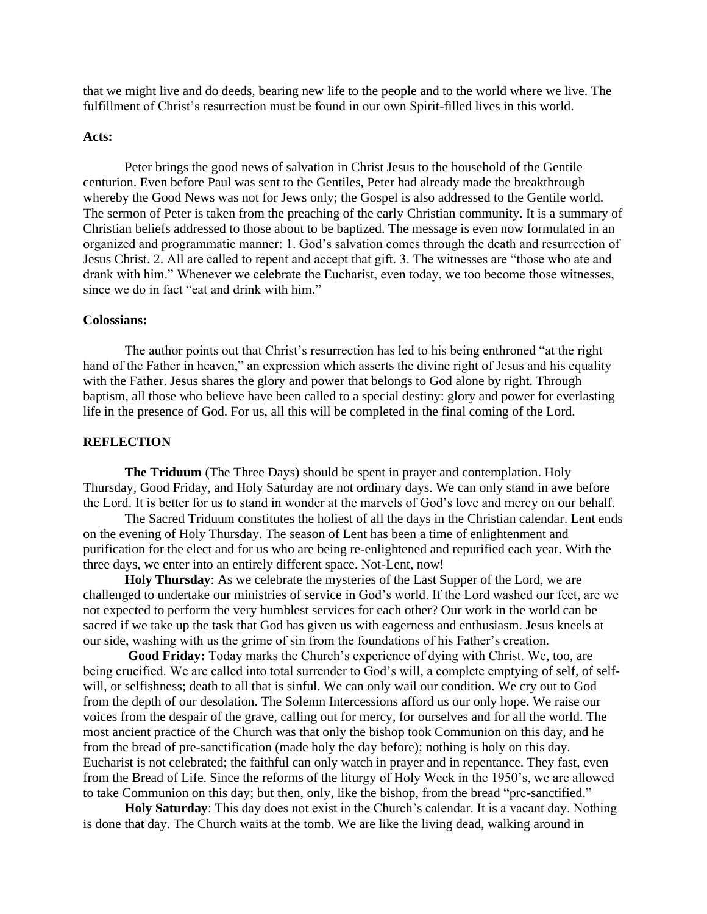that we might live and do deeds, bearing new life to the people and to the world where we live. The fulfillment of Christ's resurrection must be found in our own Spirit-filled lives in this world.

#### **Acts:**

Peter brings the good news of salvation in Christ Jesus to the household of the Gentile centurion. Even before Paul was sent to the Gentiles, Peter had already made the breakthrough whereby the Good News was not for Jews only; the Gospel is also addressed to the Gentile world. The sermon of Peter is taken from the preaching of the early Christian community. It is a summary of Christian beliefs addressed to those about to be baptized. The message is even now formulated in an organized and programmatic manner: 1. God's salvation comes through the death and resurrection of Jesus Christ. 2. All are called to repent and accept that gift. 3. The witnesses are "those who ate and drank with him." Whenever we celebrate the Eucharist, even today, we too become those witnesses, since we do in fact "eat and drink with him."

## **Colossians:**

The author points out that Christ's resurrection has led to his being enthroned "at the right hand of the Father in heaven," an expression which asserts the divine right of Jesus and his equality with the Father. Jesus shares the glory and power that belongs to God alone by right. Through baptism, all those who believe have been called to a special destiny: glory and power for everlasting life in the presence of God. For us, all this will be completed in the final coming of the Lord.

#### **REFLECTION**

**The Triduum** (The Three Days) should be spent in prayer and contemplation. Holy Thursday, Good Friday, and Holy Saturday are not ordinary days. We can only stand in awe before the Lord. It is better for us to stand in wonder at the marvels of God's love and mercy on our behalf.

The Sacred Triduum constitutes the holiest of all the days in the Christian calendar. Lent ends on the evening of Holy Thursday. The season of Lent has been a time of enlightenment and purification for the elect and for us who are being re-enlightened and repurified each year. With the three days, we enter into an entirely different space. Not-Lent, now!

**Holy Thursday**: As we celebrate the mysteries of the Last Supper of the Lord, we are challenged to undertake our ministries of service in God's world. If the Lord washed our feet, are we not expected to perform the very humblest services for each other? Our work in the world can be sacred if we take up the task that God has given us with eagerness and enthusiasm. Jesus kneels at our side, washing with us the grime of sin from the foundations of his Father's creation.

**Good Friday:** Today marks the Church's experience of dying with Christ. We, too, are being crucified. We are called into total surrender to God's will, a complete emptying of self, of selfwill, or selfishness; death to all that is sinful. We can only wail our condition. We cry out to God from the depth of our desolation. The Solemn Intercessions afford us our only hope. We raise our voices from the despair of the grave, calling out for mercy, for ourselves and for all the world. The most ancient practice of the Church was that only the bishop took Communion on this day, and he from the bread of pre-sanctification (made holy the day before); nothing is holy on this day. Eucharist is not celebrated; the faithful can only watch in prayer and in repentance. They fast, even from the Bread of Life. Since the reforms of the liturgy of Holy Week in the 1950's, we are allowed to take Communion on this day; but then, only, like the bishop, from the bread "pre-sanctified."

**Holy Saturday**: This day does not exist in the Church's calendar. It is a vacant day. Nothing is done that day. The Church waits at the tomb. We are like the living dead, walking around in